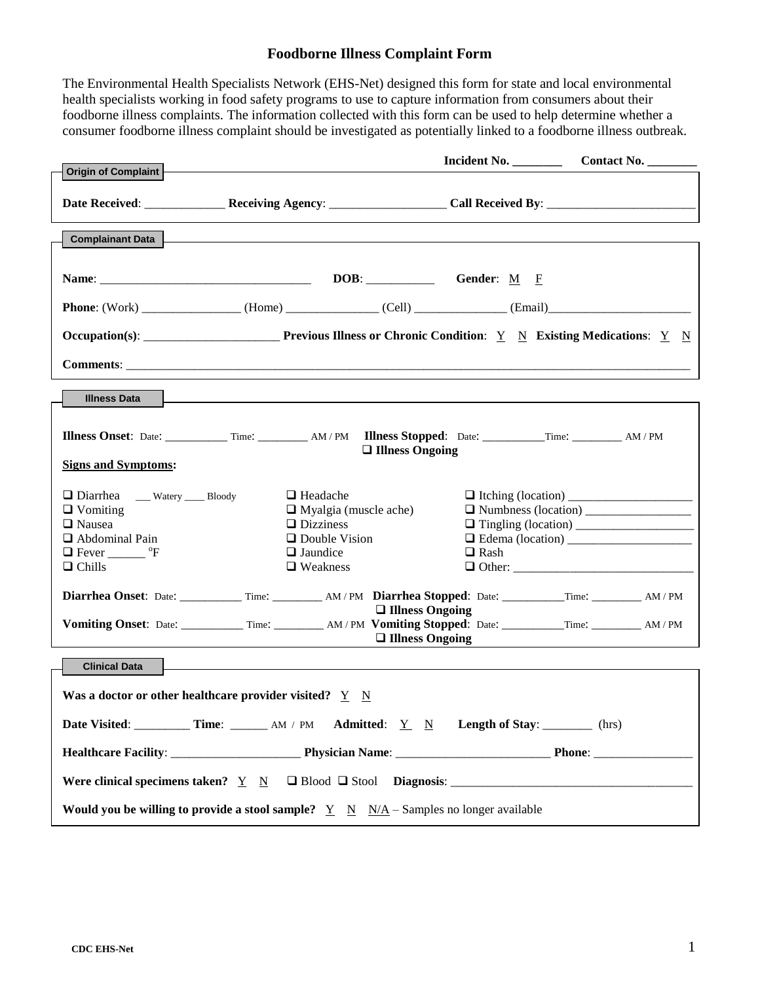The Environmental Health Specialists Network (EHS-Net) designed this form for state and local environmental health specialists working in food safety programs to use to capture information from consumers about their foodborne illness complaints. The information collected with this form can be used to help determine whether a consumer foodborne illness complaint should be investigated as potentially linked to a foodborne illness outbreak.

|                                                                                                                                          |                                                                                                                                   | Incident No.           | Contact No.   |
|------------------------------------------------------------------------------------------------------------------------------------------|-----------------------------------------------------------------------------------------------------------------------------------|------------------------|---------------|
| Origin of Complaint                                                                                                                      |                                                                                                                                   |                        |               |
|                                                                                                                                          |                                                                                                                                   |                        |               |
| <b>Complainant Data</b>                                                                                                                  |                                                                                                                                   |                        |               |
|                                                                                                                                          |                                                                                                                                   |                        |               |
|                                                                                                                                          |                                                                                                                                   |                        |               |
|                                                                                                                                          |                                                                                                                                   |                        |               |
|                                                                                                                                          |                                                                                                                                   |                        |               |
|                                                                                                                                          |                                                                                                                                   |                        |               |
|                                                                                                                                          |                                                                                                                                   |                        |               |
| <b>Illness Data</b>                                                                                                                      |                                                                                                                                   |                        |               |
| <b>Signs and Symptoms:</b>                                                                                                               | Illness Onset: Date: __________ Time: ________ AM/PM Illness Stopped: Date: _________ Time: ________ AM/PM                        | $\Box$ Illness Ongoing |               |
| Diarrhea __ Watery __ Bloody<br>$\Box$ Vomiting<br>$\Box$ Nausea<br>$\Box$ Abdominal Pain<br>$\Box$ Fever __________ °F<br>$\Box$ Chills | $\Box$ Headache<br>$\Box$ Myalgia (muscle ache)<br>$\Box$ Dizziness<br>$\Box$ Double Vision<br>$\Box$ Jaundice<br>$\Box$ Weakness | $\Box$ Rash            | $\Box$ Other: |
|                                                                                                                                          | Diarrhea Onset: Date: ____________ Time: _________ AM/PM Diarrhea Stopped: Date: __________ Time: ________ AM/PM                  | $\Box$ Illness Ongoing |               |
|                                                                                                                                          | Vomiting Onset: Date: __________ Time: ________ AM/PM Vomiting Stopped: Date: _________ Time: _______ AM/PM                       | $\Box$ Illness Ongoing |               |
| <b>Clinical Data</b><br>Was a doctor or other healthcare provider visited? $Y \ N$                                                       |                                                                                                                                   |                        |               |
|                                                                                                                                          |                                                                                                                                   |                        |               |
|                                                                                                                                          |                                                                                                                                   |                        |               |
|                                                                                                                                          |                                                                                                                                   |                        |               |
| <b>Would you be willing to provide a stool sample?</b> $\underline{Y} \underline{N} \underline{N/A} -$ Samples no longer available       |                                                                                                                                   |                        |               |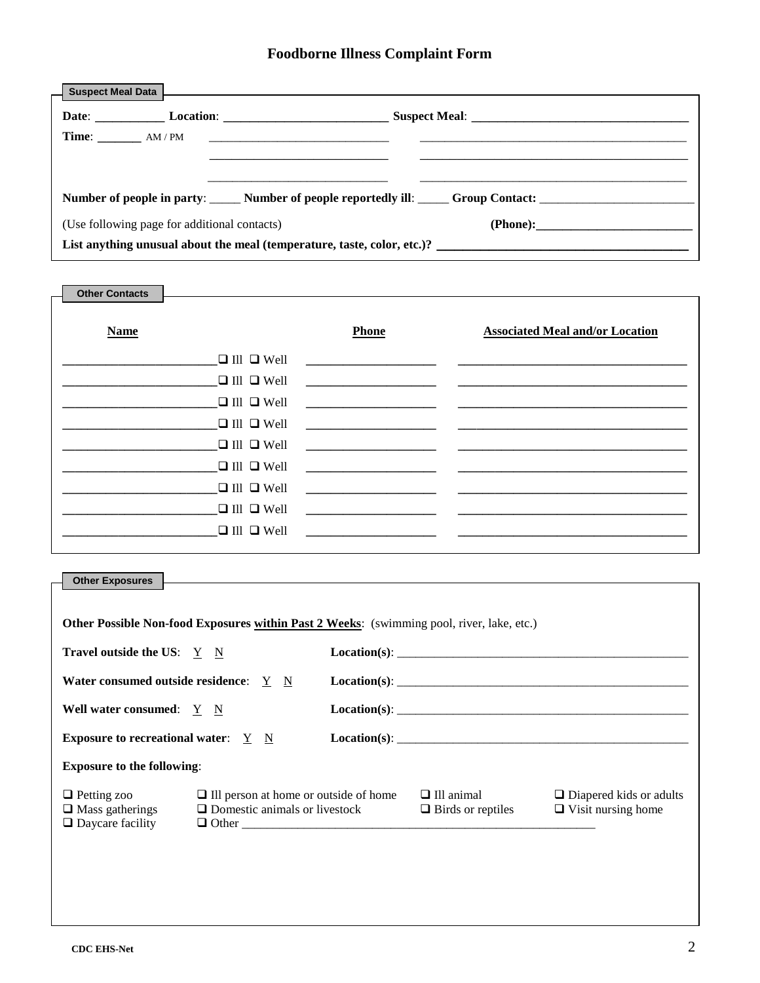|                                                                         | Number of people in party: ______ Number of people reportedly ill: _____ Group Contact: ______________________ |  |  |
|-------------------------------------------------------------------------|----------------------------------------------------------------------------------------------------------------|--|--|
| (Use following page for additional contacts)<br>(Phone):                |                                                                                                                |  |  |
| List anything unusual about the meal (temperature, taste, color, etc.)? |                                                                                                                |  |  |

| <b>Other Contacts</b> |                        |                                                                                                                                                                                                                                                    |                                                 |
|-----------------------|------------------------|----------------------------------------------------------------------------------------------------------------------------------------------------------------------------------------------------------------------------------------------------|-------------------------------------------------|
| <b>Name</b>           |                        | <b>Phone</b>                                                                                                                                                                                                                                       | <b>Associated Meal and/or Location</b>          |
|                       |                        |                                                                                                                                                                                                                                                    | $\Box$ III $\Box$ Well                          |
|                       | $\Box$ III $\Box$ Well |                                                                                                                                                                                                                                                    |                                                 |
|                       | $\Box$ III $\Box$ Well |                                                                                                                                                                                                                                                    |                                                 |
|                       | $\Box$ III $\Box$ Well |                                                                                                                                                                                                                                                    |                                                 |
|                       | $\Box$ III $\Box$ Well |                                                                                                                                                                                                                                                    | <u> 1980 - Andrea Amerikaanse kommunister (</u> |
|                       | $\Box$ III $\Box$ Well |                                                                                                                                                                                                                                                    |                                                 |
|                       | $\Box$ III $\Box$ Well |                                                                                                                                                                                                                                                    |                                                 |
|                       | $\Box$ III $\Box$ Well |                                                                                                                                                                                                                                                    |                                                 |
|                       | $\Box$ III $\Box$ Well | <u> 1980 - Jan Samuel Barbara, margaret e</u> n 1980 <mark>- Jan Samuel Barbara, establera establera establecida establecida.</mark><br>1980 - Antonio Garriera, francasa española española establecida en la contradición de la contradición de l |                                                 |
|                       |                        |                                                                                                                                                                                                                                                    |                                                 |

| <b>Other Exposures</b>                                                  |                                                                                                  |  |                                               |                                                             |
|-------------------------------------------------------------------------|--------------------------------------------------------------------------------------------------|--|-----------------------------------------------|-------------------------------------------------------------|
|                                                                         |                                                                                                  |  |                                               |                                                             |
|                                                                         |                                                                                                  |  |                                               |                                                             |
|                                                                         | <b>Other Possible Non-food Exposures within Past 2 Weeks:</b> (swimming pool, river, lake, etc.) |  |                                               |                                                             |
| Travel outside the US: $Y \ N$                                          |                                                                                                  |  |                                               |                                                             |
| Water consumed outside residence: Y N                                   |                                                                                                  |  | Location(s):                                  |                                                             |
| Well water consumed: Y N                                                |                                                                                                  |  | $\textbf{Location(s):}$                       |                                                             |
| <b>Exposure to recreational water:</b> Y N                              |                                                                                                  |  |                                               |                                                             |
| <b>Exposure to the following:</b>                                       |                                                                                                  |  |                                               |                                                             |
| $\Box$ Petting zoo<br>$\Box$ Mass gatherings<br>$\Box$ Daycare facility | $\Box$ Ill person at home or outside of home<br>$\Box$ Domestic animals or livestock             |  | $\Box$ Ill animal<br>$\Box$ Birds or reptiles | $\Box$ Diapered kids or adults<br>$\Box$ Visit nursing home |
|                                                                         |                                                                                                  |  |                                               |                                                             |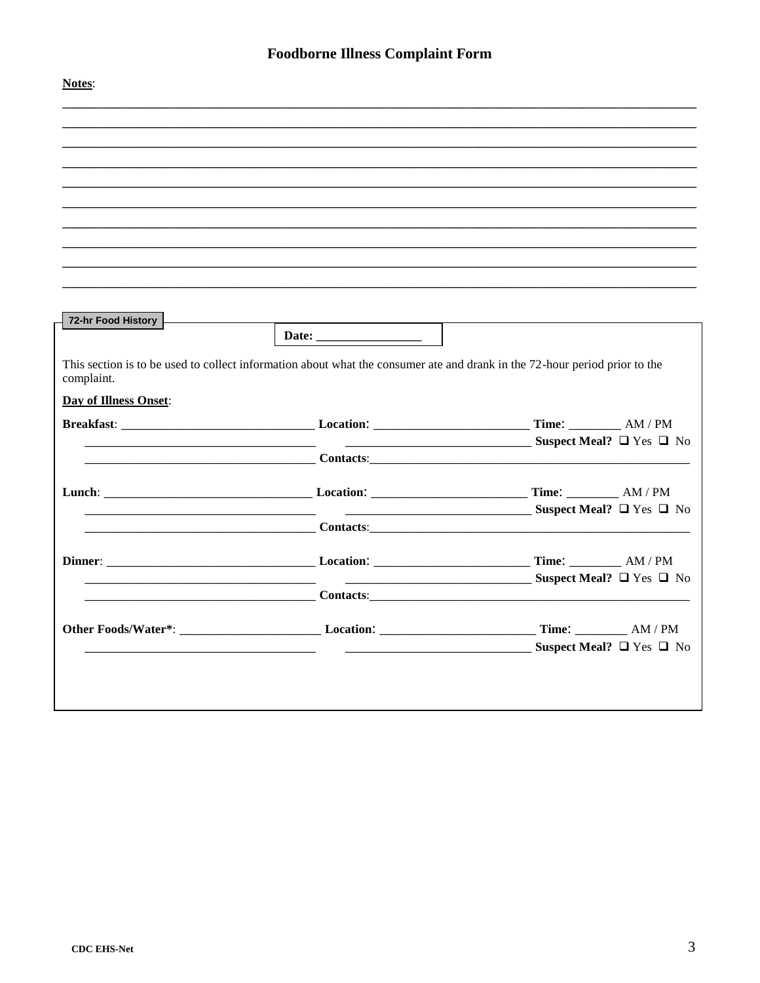| Notes:                |                                                                                                                                                                                                  |                                                  |
|-----------------------|--------------------------------------------------------------------------------------------------------------------------------------------------------------------------------------------------|--------------------------------------------------|
|                       |                                                                                                                                                                                                  |                                                  |
|                       |                                                                                                                                                                                                  |                                                  |
|                       |                                                                                                                                                                                                  |                                                  |
|                       |                                                                                                                                                                                                  |                                                  |
|                       |                                                                                                                                                                                                  |                                                  |
|                       |                                                                                                                                                                                                  |                                                  |
|                       |                                                                                                                                                                                                  |                                                  |
|                       |                                                                                                                                                                                                  |                                                  |
|                       |                                                                                                                                                                                                  |                                                  |
| 72-hr Food History    | Date: $\qquad \qquad$                                                                                                                                                                            |                                                  |
|                       |                                                                                                                                                                                                  |                                                  |
| complaint.            | This section is to be used to collect information about what the consumer ate and drank in the 72-hour period prior to the                                                                       |                                                  |
| Day of Illness Onset: |                                                                                                                                                                                                  |                                                  |
|                       |                                                                                                                                                                                                  |                                                  |
|                       |                                                                                                                                                                                                  | $Suspect Meal? \Box Yes \Box No$                 |
|                       | <b>Contacts: Contacts: Contacts: Contacts: Contacts: Contacts: Contacts: Contacts: Contacts: Contacts: Contacts: Contacts: Contacts: Contacts: Contacts: Contacts: Contacts: Contacts: Conta</b> |                                                  |
|                       |                                                                                                                                                                                                  |                                                  |
|                       | <b>Contacts:</b>                                                                                                                                                                                 | $Suspect Meal? \Box Yes \Box No$                 |
|                       |                                                                                                                                                                                                  |                                                  |
|                       |                                                                                                                                                                                                  |                                                  |
|                       | <b>Contacts:</b> Contacts:                                                                                                                                                                       | $\sim$ Suspect Meal? $\square$ Yes $\square$ No  |
|                       |                                                                                                                                                                                                  |                                                  |
|                       |                                                                                                                                                                                                  |                                                  |
|                       |                                                                                                                                                                                                  | $\frac{1}{2}$ Suspect Meal? $\Box$ Yes $\Box$ No |
|                       |                                                                                                                                                                                                  |                                                  |
|                       |                                                                                                                                                                                                  |                                                  |